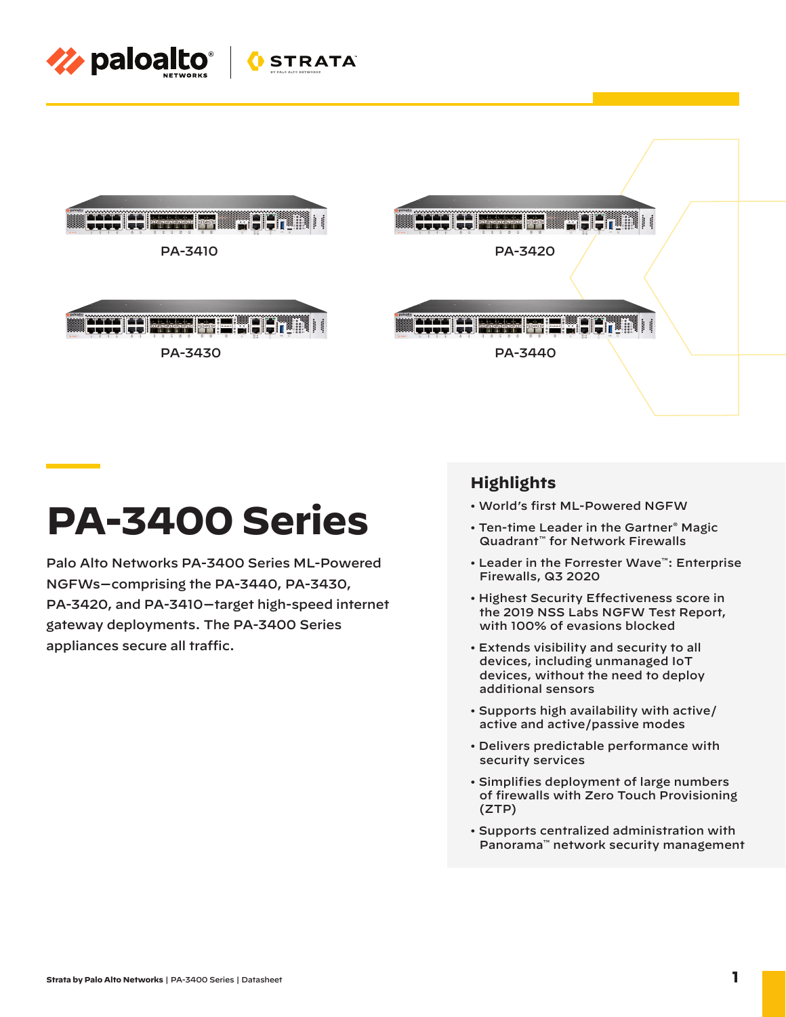





Palo Alto Networks PA-3400 Series ML-Powered NGFWs—comprising the PA-3440, PA-3430, PA-3420, and PA-3410—target high-speed internet gateway deployments. The PA-3400 Series appliances secure all traffic.

# **Highlights**

PA-3420

- World's first ML-Powered NGFW
- Ten-time Leader in the Gartner® Magic Quadrant™ for Network Firewalls

Ministration

- Leader in the Forrester Wave™: Enterprise Firewalls, Q3 2020
- Highest Security Effectiveness score in the 2019 NSS Labs NGFW Test Report, with 100% of evasions blocked
- Extends visibility and security to all devices, including unmanaged IoT devices, without the need to deploy additional sensors
- Supports high availability with active/ active and active/passive modes
- Delivers predictable performance with security services
- Simplifies deployment of large numbers of firewalls with Zero Touch Provisioning (ZTP)
- Supports centralized administration with Panorama™ network security management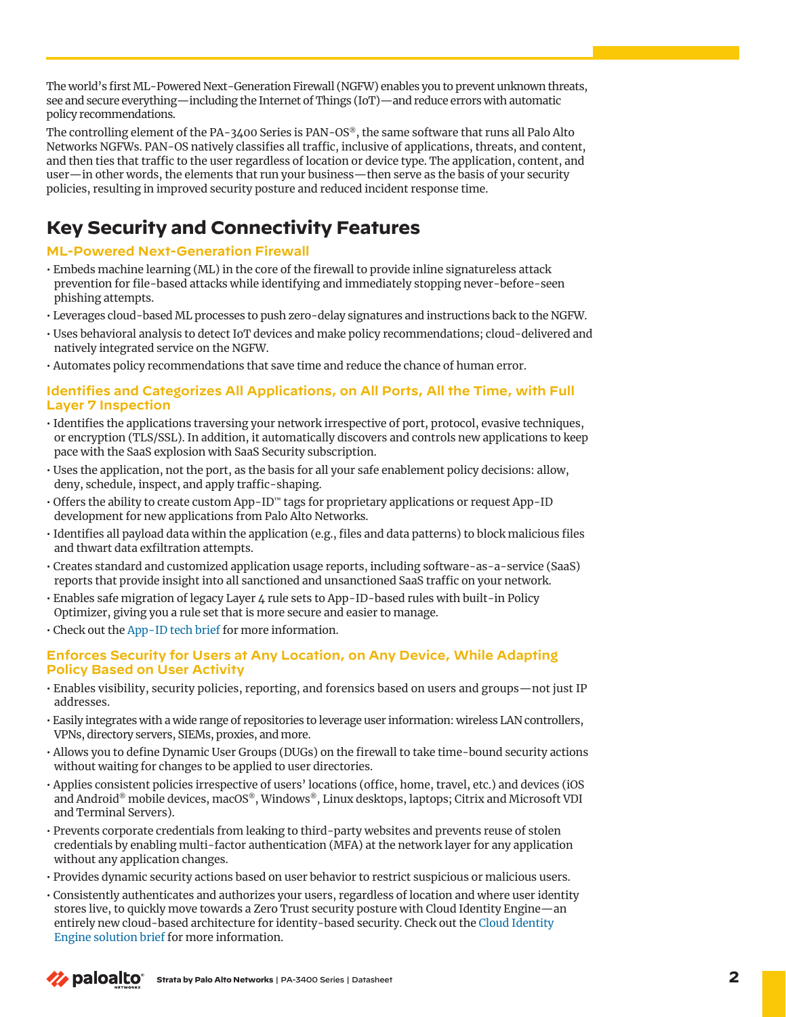The world's first ML-Powered Next-Generation Firewall (NGFW) enables you to prevent unknown threats, see and secure everything—including the Internet of Things (IoT)—and reduce errors with automatic policy recommendations.

The controlling element of the PA-3400 Series is PAN-OS®, the same software that runs all Palo Alto Networks NGFWs. PAN-OS natively classifies all traffic, inclusive of applications, threats, and content, and then ties that traffic to the user regardless of location or device type. The application, content, and user—in other words, the elements that run your business—then serve as the basis of your security policies, resulting in improved security posture and reduced incident response time.

# **Key Security and Connectivity Features**

## **ML-Powered Next-Generation Firewall**

- Embeds machine learning (ML) in the core of the firewall to provide inline signatureless attack prevention for file-based attacks while identifying and immediately stopping never-before-seen phishing attempts.
- Leverages cloud-based ML processes to push zero-delay signatures and instructions back to the NGFW.
- Uses behavioral analysis to detect IoT devices and make policy recommendations; cloud-delivered and natively integrated service on the NGFW.
- Automates policy recommendations that save time and reduce the chance of human error.

### **Identifies and Categorizes All Applications, on All Ports, All the Time, with Full Layer 7 Inspection**

- Identifies the applications traversing your network irrespective of port, protocol, evasive techniques, or encryption (TLS/SSL). In addition, it automatically discovers and controls new applications to keep pace with the SaaS explosion with SaaS Security subscription.
- Uses the application, not the port, as the basis for all your safe enablement policy decisions: allow, deny, schedule, inspect, and apply traffic-shaping.
- Offers the ability to create custom App-ID™ tags for proprietary applications or request App-ID development for new applications from Palo Alto Networks.
- Identifies all payload data within the application (e.g., files and data patterns) to block malicious files and thwart data exfiltration attempts.
- Creates standard and customized application usage reports, including software-as-a-service (SaaS) reports that provide insight into all sanctioned and unsanctioned SaaS traffic on your network.
- Enables safe migration of legacy Layer 4 rule sets to App-ID-based rules with built-in Policy Optimizer, giving you a rule set that is more secure and easier to manage.
- Check out the [App-ID tech brief](https://www.paloaltonetworks.com/resources/techbriefs/app-id-tech-brief) for more information.

### **Enforces Security for Users at Any Location, on Any Device, While Adapting Policy Based on User Activity**

- Enables visibility, security policies, reporting, and forensics based on users and groups—not just IP addresses.
- Easily integrates with a wide range of repositories to leverage user information: wireless LAN controllers, VPNs, directory servers, SIEMs, proxies, and more.
- Allows you to define Dynamic User Groups (DUGs) on the firewall to take time-bound security actions without waiting for changes to be applied to user directories.
- Applies consistent policies irrespective of users' locations (office, home, travel, etc.) and devices (iOS and Android® mobile devices, macOS®, Windows®, Linux desktops, laptops; Citrix and Microsoft VDI and Terminal Servers).
- Prevents corporate credentials from leaking to third-party websites and prevents reuse of stolen credentials by enabling multi-factor authentication (MFA) at the network layer for any application without any application changes.
- Provides dynamic security actions based on user behavior to restrict suspicious or malicious users.
- Consistently authenticates and authorizes your users, regardless of location and where user identity stores live, to quickly move towards a Zero Trust security posture with Cloud Identity Engine—an entirely new cloud-based architecture for identity-based security. Check out the [Cloud Identity](https://www.paloaltonetworks.com/resources/techbriefs/cloud-identity-engine)  [Engine solution brief](https://www.paloaltonetworks.com/resources/techbriefs/cloud-identity-engine) for more information.

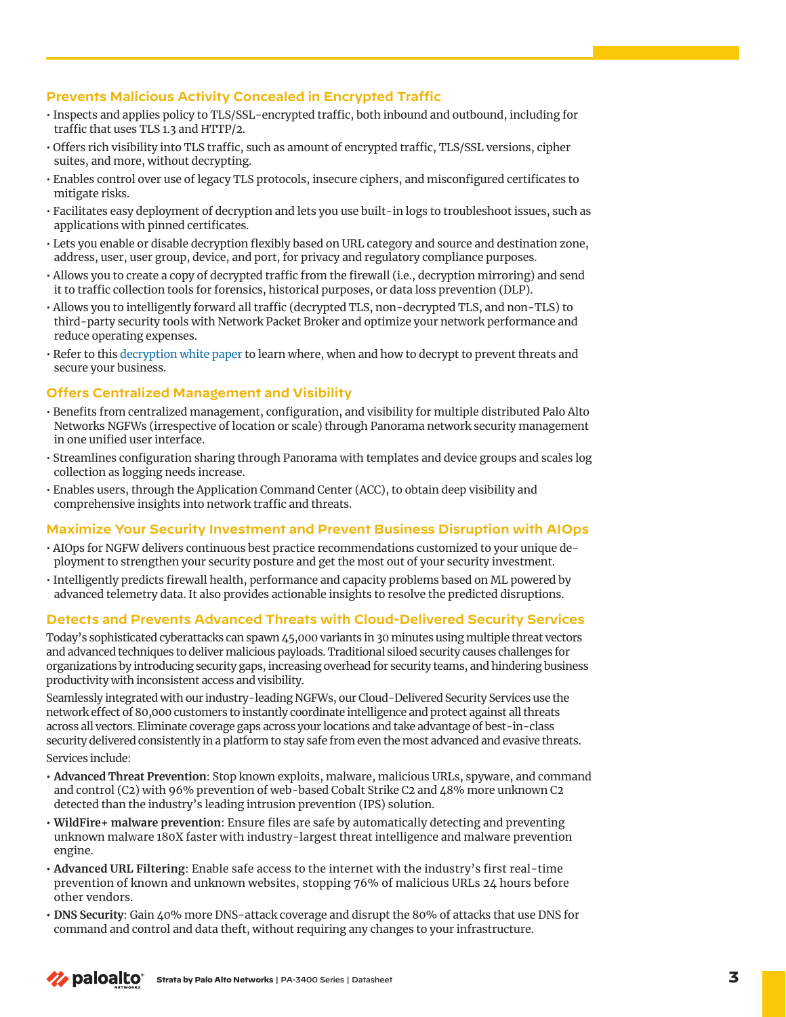### **Prevents Malicious Activity Concealed in Encrypted Traffic**

- Inspects and applies policy to TLS/SSL-encrypted traffic, both inbound and outbound, including for traffic that uses TLS 1.3 and HTTP/2.
- Offers rich visibility into TLS traffic, such as amount of encrypted traffic, TLS/SSL versions, cipher suites, and more, without decrypting.
- Enables control over use of legacy TLS protocols, insecure ciphers, and misconfigured certificates to mitigate risks.
- Facilitates easy deployment of decryption and lets you use built-in logs to troubleshoot issues, such as applications with pinned certificates.
- Lets you enable or disable decryption flexibly based on URL category and source and destination zone, address, user, user group, device, and port, for privacy and regulatory compliance purposes.
- Allows you to create a copy of decrypted traffic from the firewall (i.e., decryption mirroring) and send it to traffic collection tools for forensics, historical purposes, or data loss prevention (DLP).
- Allows you to intelligently forward all traffic (decrypted TLS, non-decrypted TLS, and non-TLS) to third-party security tools with Network Packet Broker and optimize your network performance and reduce operating expenses.
- Refer to this [decryption white paper](https://www.paloaltonetworks.com/resources/whitepapers/decryption-why-where-and-how) to learn where, when and how to decrypt to prevent threats and secure your business.

#### **Offers Centralized Management and Visibility**

- Benefits from centralized management, configuration, and visibility for multiple distributed Palo Alto Networks NGFWs (irrespective of location or scale) through Panorama network security management in one unified user interface.
- Streamlines configuration sharing through Panorama with templates and device groups and scales log collection as logging needs increase.
- Enables users, through the Application Command Center (ACC), to obtain deep visibility and comprehensive insights into network traffic and threats.

#### **Maximize Your Security Investment and Prevent Business Disruption with AIOps**

- AIOps for NGFW delivers continuous best practice recommendations customized to your unique deployment to strengthen your security posture and get the most out of your security investment.
- Intelligently predicts firewall health, performance and capacity problems based on ML powered by advanced telemetry data. It also provides actionable insights to resolve the predicted disruptions.

#### **Detects and Prevents Advanced Threats with Cloud-Delivered Security Services**

Today's sophisticated cyberattacks can spawn 45,000 variants in 30 minutes using multiple threat vectors and advanced techniques to deliver malicious payloads. Traditional siloed security causes challenges for organizations by introducing security gaps, increasing overhead for security teams, and hindering business productivity with inconsistent access and visibility.

Seamlessly integrated with our industry-leading NGFWs, our Cloud-Delivered Security Services use the network effect of 80,000 customers to instantly coordinate intelligence and protect against all threats across all vectors. Eliminate coverage gaps across your locations and take advantage of best-in-class security delivered consistently in a platform to stay safe from even the most advanced and evasive threats.

Services include:

- **• Advanced Threat Prevention**: Stop known exploits, malware, malicious URLs, spyware, and command and control (C2) with 96% prevention of web-based Cobalt Strike C2 and 48% more unknown C2 detected than the industry's leading intrusion prevention (IPS) solution.
- **• WildFire+ malware prevention**: Ensure files are safe by automatically detecting and preventing unknown malware 180X faster with industry-largest threat intelligence and malware prevention engine.
- **• Advanced URL Filtering**: Enable safe access to the internet with the industry's first real-time prevention of known and unknown websites, stopping 76% of malicious URLs 24 hours before other vendors.
- **• DNS Security**: Gain 40% more DNS-attack coverage and disrupt the 80% of attacks that use DNS for command and control and data theft, without requiring any changes to your infrastructure.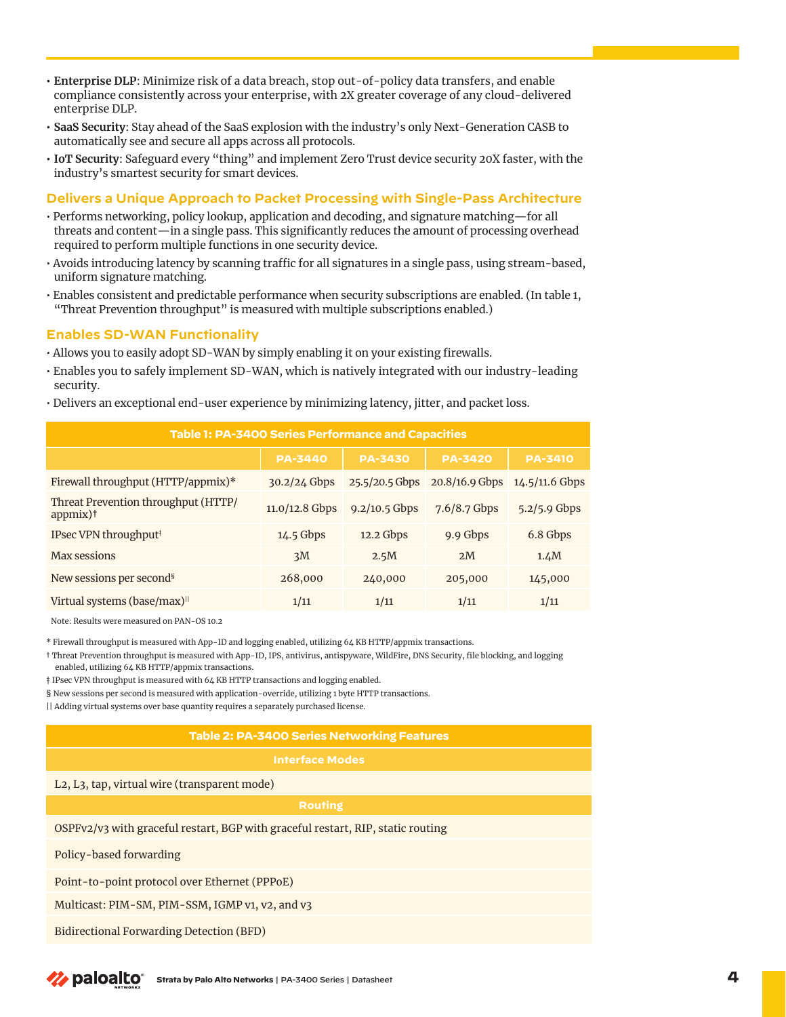- **• Enterprise DLP**: Minimize risk of a data breach, stop out-of-policy data transfers, and enable compliance consistently across your enterprise, with 2X greater coverage of any cloud-delivered enterprise DLP.
- **• SaaS Security**: Stay ahead of the SaaS explosion with the industry's only Next-Generation CASB to automatically see and secure all apps across all protocols.
- **• IoT Security**: Safeguard every "thing" and implement Zero Trust device security 20X faster, with the industry's smartest security for smart devices.

#### **Delivers a Unique Approach to Packet Processing with Single-Pass Architecture**

- Performs networking, policy lookup, application and decoding, and signature matching—for all threats and content—in a single pass. This significantly reduces the amount of processing overhead required to perform multiple functions in one security device.
- Avoids introducing latency by scanning traffic for all signatures in a single pass, using stream-based, uniform signature matching.
- Enables consistent and predictable performance when security subscriptions are enabled. (In table 1, "Threat Prevention throughput" is measured with multiple subscriptions enabled.)

#### **Enables SD-WAN Functionality**

- Allows you to easily adopt SD-WAN by simply enabling it on your existing firewalls.
- Enables you to safely implement SD-WAN, which is natively integrated with our industry-leading security.
- Delivers an exceptional end-user experience by minimizing latency, jitter, and packet loss.

| Table 1: PA-3400 Series Performance and Capacities             |                  |                  |                  |                  |  |
|----------------------------------------------------------------|------------------|------------------|------------------|------------------|--|
|                                                                | <b>PA-3440</b>   | <b>PA-3430</b>   | <b>PA-3420</b>   | <b>PA-3410</b>   |  |
| Firewall throughput (HTTP/appmix)*                             | $30.2/24$ Gbps   | $25.5/20.5$ Gbps | $20.8/16.9$ Gbps | $14.5/11.6$ Gbps |  |
| Threat Prevention throughput (HTTP/<br>$appmix$ ) <sup>†</sup> | $11.0/12.8$ Gbps | $9.2/10.5$ Gbps  | 7.6/8.7 Gbps     | $5.2/5.9$ Gbps   |  |
| IPsec VPN throughput <sup>#</sup>                              | $14.5$ Gbps      | $12.2$ Gbps      | 9.9 Gbps         | 6.8 Gbps         |  |
| Max sessions                                                   | 3M               | 2.5M             | 2M               | 1.4M             |  |
| New sessions per second <sup>§</sup>                           | 268,000          | 240,000          | 205,000          | 145,000          |  |
| Virtual systems (base/max) <sup>  </sup>                       | 1/11             | 1/11             | 1/11             | 1/11             |  |

Note: Results were measured on PAN-OS 10.2

\* Firewall throughput is measured with App-ID and logging enabled, utilizing 64 KB HTTP/appmix transactions.

† Threat Prevention throughput is measured with App-ID, IPS, antivirus, antispyware, WildFire, DNS Security, file blocking, and logging enabled, utilizing 64 KB HTTP/appmix transactions.

‡ IPsec VPN throughput is measured with 64 KB HTTP transactions and logging enabled.

§ New sessions per second is measured with application-override, utilizing 1 byte HTTP transactions.

|| Adding virtual systems over base quantity requires a separately purchased license.

#### **Table 2: PA-3400 Series Networking Features**

L2, L3, tap, virtual wire (transparent mode)

OSPFv2/v3 with graceful restart, BGP with graceful restart, RIP, static routing

Policy-based forwarding

Point-to-point protocol over Ethernet (PPPoE)

Multicast: PIM-SM, PIM-SSM, IGMP v1, v2, and v3

Bidirectional Forwarding Detection (BFD)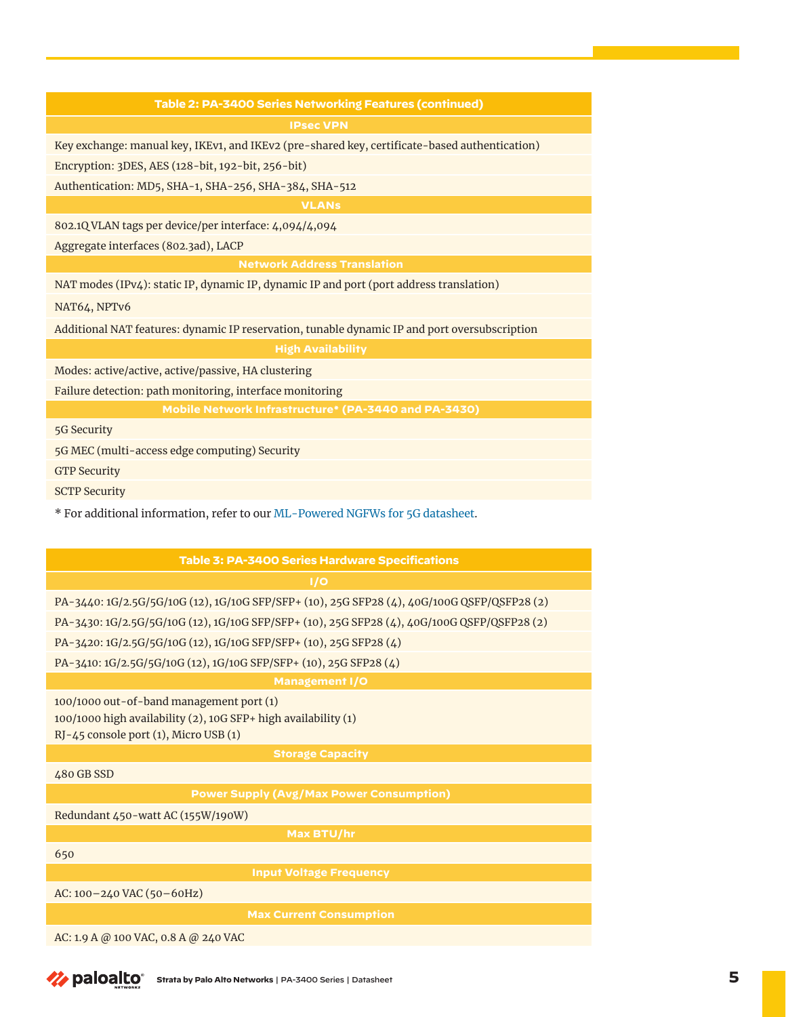#### **Table 2: PA-3400 Series Networking Features (continued)**

Key exchange: manual key, IKEv1, and IKEv2 (pre-shared key, certificate-based authentication)

Encryption: 3DES, AES (128-bit, 192-bit, 256-bit)

Authentication: MD5, SHA-1, SHA-256, SHA-384, SHA-512

**VLANs**

802.1Q VLAN tags per device/per interface: 4,094/4,094

Aggregate interfaces (802.3ad), LACP

**Network Address Translation**

NAT modes (IPv4): static IP, dynamic IP, dynamic IP and port (port address translation)

NAT64, NPTv6

Additional NAT features: dynamic IP reservation, tunable dynamic IP and port oversubscription

Modes: active/active, active/passive, HA clustering

Failure detection: path monitoring, interface monitoring

5G Security

5G MEC (multi-access edge computing) Security

GTP Security

SCTP Security

\* For additional information, refer to our [ML-Powered NGFWs for 5G datasheet.](https://www.paloaltonetworks.com/resources/datasheets/ml-powered-ngfws-for-5g)

| Table 3: PA-3400 Series Hardware Specifications                                                                                                     |  |  |  |
|-----------------------------------------------------------------------------------------------------------------------------------------------------|--|--|--|
| 1/0                                                                                                                                                 |  |  |  |
| PA-3440: 1G/2.5G/5G/10G (12), 1G/10G SFP/SFP+ (10), 25G SFP28 (4), 40G/100G QSFP/QSFP28 (2)                                                         |  |  |  |
| PA-3430: 1G/2.5G/5G/10G (12), 1G/10G SFP/SFP+ (10), 25G SFP28 (4), 40G/100G QSFP/QSFP28 (2)                                                         |  |  |  |
| PA-3420: 1G/2.5G/5G/10G (12), 1G/10G SFP/SFP+ (10), 25G SFP28 (4)                                                                                   |  |  |  |
| PA-3410: 1G/2.5G/5G/10G (12), 1G/10G SFP/SFP+ (10), 25G SFP28 (4)                                                                                   |  |  |  |
| <b>Management I/O</b>                                                                                                                               |  |  |  |
| 100/1000 out-of-band management port (1)<br>100/1000 high availability (2), 10G SFP+ high availability (1)<br>RJ-45 console port (1), Micro USB (1) |  |  |  |
| <b>Storage Capacity</b>                                                                                                                             |  |  |  |
| 480 GB SSD                                                                                                                                          |  |  |  |
| <b>Power Supply (Avg/Max Power Consumption)</b>                                                                                                     |  |  |  |
| Redundant 450-watt AC (155W/190W)                                                                                                                   |  |  |  |
| Max BTU/hr                                                                                                                                          |  |  |  |
| 650                                                                                                                                                 |  |  |  |
| <b>Input Voltage Frequency</b>                                                                                                                      |  |  |  |
| AC: $100 - 240$ VAC ( $50 - 60$ Hz)                                                                                                                 |  |  |  |
| <b>Max Current Consumption</b>                                                                                                                      |  |  |  |
| AC: 1.9 A @ 100 VAC, 0.8 A @ 240 VAC                                                                                                                |  |  |  |